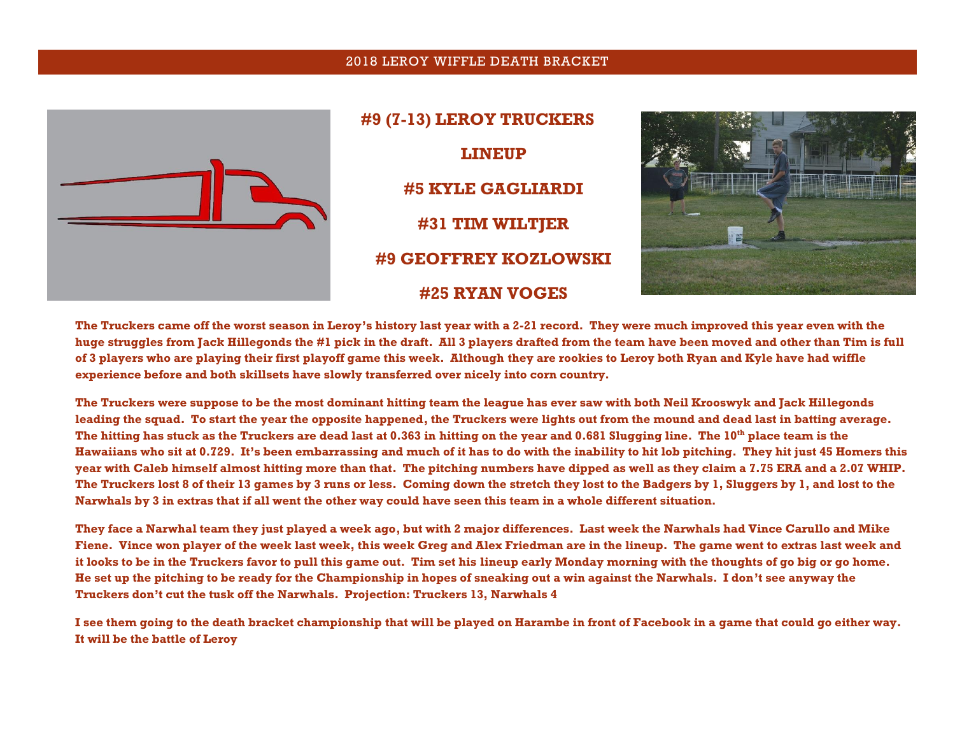## 2018 LEROY WIFFLE DEATH BRACKET



**#9 (7-13) LEROY TRUCKERS LINEUP #5 KYLE GAGLIARDI #31 TIM WILTJER #9 GEOFFREY KOZLOWSKI #25 RYAN VOGES**



**The Truckers came off the worst season in Leroy's history last year with a 2-21 record. They were much improved this year even with the huge struggles from Jack Hillegonds the #1 pick in the draft. All 3 players drafted from the team have been moved and other than Tim is full of 3 players who are playing their first playoff game this week. Although they are rookies to Leroy both Ryan and Kyle have had wiffle experience before and both skillsets have slowly transferred over nicely into corn country.**

**The Truckers were suppose to be the most dominant hitting team the league has ever saw with both Neil Krooswyk and Jack Hillegonds leading the squad. To start the year the opposite happened, the Truckers were lights out from the mound and dead last in batting average. The hitting has stuck as the Truckers are dead last at 0.363 in hitting on the year and 0.681 Slugging line. The 10th place team is the Hawaiians who sit at 0.729. It's been embarrassing and much of it has to do with the inability to hit lob pitching. They hit just 45 Homers this year with Caleb himself almost hitting more than that. The pitching numbers have dipped as well as they claim a 7.75 ERA and a 2.07 WHIP. The Truckers lost 8 of their 13 games by 3 runs or less. Coming down the stretch they lost to the Badgers by 1, Sluggers by 1, and lost to the Narwhals by 3 in extras that if all went the other way could have seen this team in a whole different situation.** 

**They face a Narwhal team they just played a week ago, but with 2 major differences. Last week the Narwhals had Vince Carullo and Mike Fiene. Vince won player of the week last week, this week Greg and Alex Friedman are in the lineup. The game went to extras last week and it looks to be in the Truckers favor to pull this game out. Tim set his lineup early Monday morning with the thoughts of go big or go home. He set up the pitching to be ready for the Championship in hopes of sneaking out a win against the Narwhals. I don't see anyway the Truckers don't cut the tusk off the Narwhals. Projection: Truckers 13, Narwhals 4**

**I see them going to the death bracket championship that will be played on Harambe in front of Facebook in a game that could go either way. It will be the battle of Leroy**